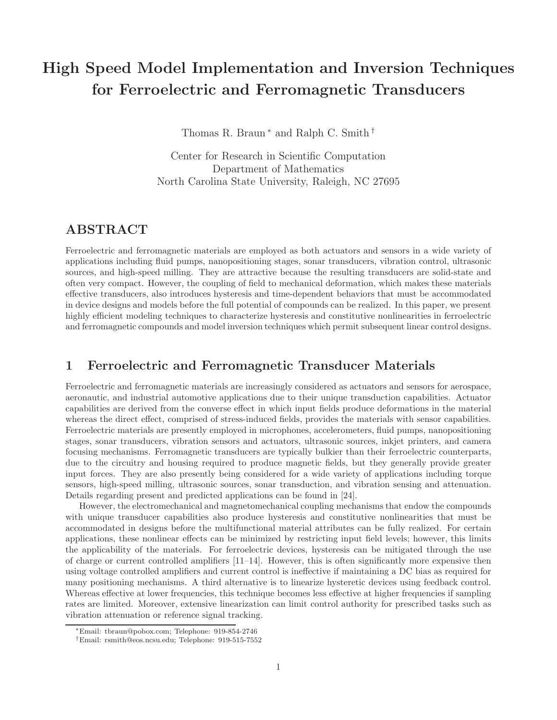# High Speed Model Implementation and Inversion Techniques for Ferroelectric and Ferromagnetic Transducers

Thomas R. Braun<sup>∗</sup> and Ralph C. Smith<sup>†</sup>

Center for Research in Scientific Computation Department of Mathematics North Carolina State University, Raleigh, NC 27695

# ABSTRACT

Ferroelectric and ferromagnetic materials are employed as both actuators and sensors in a wide variety of applications including fluid pumps, nanopositioning stages, sonar transducers, vibration control, ultrasonic sources, and high-speed milling. They are attractive because the resulting transducers are solid-state and often very compact. However, the coupling of field to mechanical deformation, which makes these materials effective transducers, also introduces hysteresis and time-dependent behaviors that must be accommodated in device designs and models before the full potential of compounds can be realized. In this paper, we present highly efficient modeling techniques to characterize hysteresis and constitutive nonlinearities in ferroelectric and ferromagnetic compounds and model inversion techniques which permit subsequent linear control designs.

# 1 Ferroelectric and Ferromagnetic Transducer Materials

Ferroelectric and ferromagnetic materials are increasingly considered as actuators and sensors for aerospace, aeronautic, and industrial automotive applications due to their unique transduction capabilities. Actuator capabilities are derived from the converse effect in which input fields produce deformations in the material whereas the direct effect, comprised of stress-induced fields, provides the materials with sensor capabilities. Ferroelectric materials are presently employed in microphones, accelerometers, fluid pumps, nanopositioning stages, sonar transducers, vibration sensors and actuators, ultrasonic sources, inkjet printers, and camera focusing mechanisms. Ferromagnetic transducers are typically bulkier than their ferroelectric counterparts, due to the circuitry and housing required to produce magnetic fields, but they generally provide greater input forces. They are also presently being considered for a wide variety of applications including torque sensors, high-speed milling, ultrasonic sources, sonar transduction, and vibration sensing and attenuation. Details regarding present and predicted applications can be found in [24].

However, the electromechanical and magnetomechanical coupling mechanisms that endow the compounds with unique transducer capabilities also produce hysteresis and constitutive nonlinearities that must be accommodated in designs before the multifunctional material attributes can be fully realized. For certain applications, these nonlinear effects can be minimized by restricting input field levels; however, this limits the applicability of the materials. For ferroelectric devices, hysteresis can be mitigated through the use of charge or current controlled amplifiers [11–14]. However, this is often significantly more expensive then using voltage controlled amplifiers and current control is ineffective if maintaining a DC bias as required for many positioning mechanisms. A third alternative is to linearize hysteretic devices using feedback control. Whereas effective at lower frequencies, this technique becomes less effective at higher frequencies if sampling rates are limited. Moreover, extensive linearization can limit control authority for prescribed tasks such as vibration attenuation or reference signal tracking.

<sup>∗</sup>Email: tbraun@pobox.com; Telephone: 919-854-2746

<sup>†</sup>Email: rsmith@eos.ncsu.edu; Telephone: 919-515-7552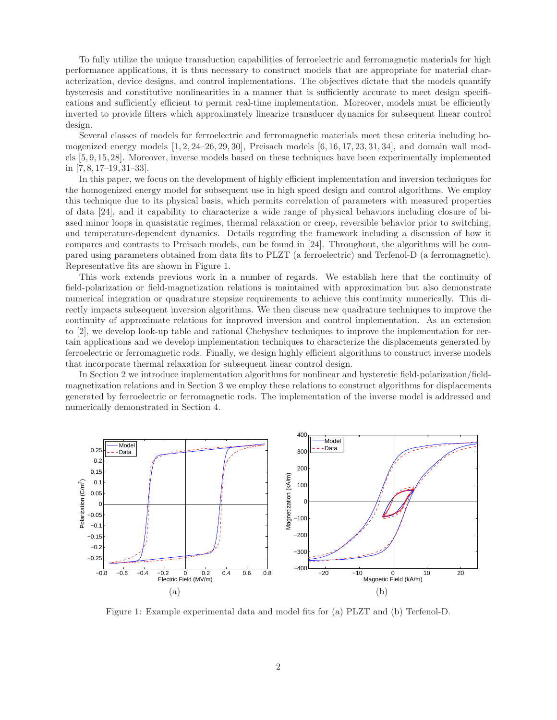To fully utilize the unique transduction capabilities of ferroelectric and ferromagnetic materials for high performance applications, it is thus necessary to construct models that are appropriate for material characterization, device designs, and control implementations. The objectives dictate that the models quantify hysteresis and constitutive nonlinearities in a manner that is sufficiently accurate to meet design specifications and sufficiently efficient to permit real-time implementation. Moreover, models must be efficiently inverted to provide filters which approximately linearize transducer dynamics for subsequent linear control design.

Several classes of models for ferroelectric and ferromagnetic materials meet these criteria including homogenized energy models  $[1, 2, 24-26, 29, 30]$ , Preisach models  $[6, 16, 17, 23, 31, 34]$ , and domain wall models [5, 9, 15, 28]. Moreover, inverse models based on these techniques have been experimentally implemented in [7, 8, 17–19, 31–33].

In this paper, we focus on the development of highly efficient implementation and inversion techniques for the homogenized energy model for subsequent use in high speed design and control algorithms. We employ this technique due to its physical basis, which permits correlation of parameters with measured properties of data [24], and it capability to characterize a wide range of physical behaviors including closure of biased minor loops in quasistatic regimes, thermal relaxation or creep, reversible behavior prior to switching, and temperature-dependent dynamics. Details regarding the framework including a discussion of how it compares and contrasts to Preisach models, can be found in [24]. Throughout, the algorithms will be compared using parameters obtained from data fits to PLZT (a ferroelectric) and Terfenol-D (a ferromagnetic). Representative fits are shown in Figure 1.

This work extends previous work in a number of regards. We establish here that the continuity of field-polarization or field-magnetization relations is maintained with approximation but also demonstrate numerical integration or quadrature stepsize requirements to achieve this continuity numerically. This directly impacts subsequent inversion algorithms. We then discuss new quadrature techniques to improve the continuity of approximate relations for improved inversion and control implementation. As an extension to [2], we develop look-up table and rational Chebyshev techniques to improve the implementation for certain applications and we develop implementation techniques to characterize the displacements generated by ferroelectric or ferromagnetic rods. Finally, we design highly efficient algorithms to construct inverse models that incorporate thermal relaxation for subsequent linear control design.

In Section 2 we introduce implementation algorithms for nonlinear and hysteretic field-polarization/fieldmagnetization relations and in Section 3 we employ these relations to construct algorithms for displacements generated by ferroelectric or ferromagnetic rods. The implementation of the inverse model is addressed and numerically demonstrated in Section 4.



Figure 1: Example experimental data and model fits for (a) PLZT and (b) Terfenol-D.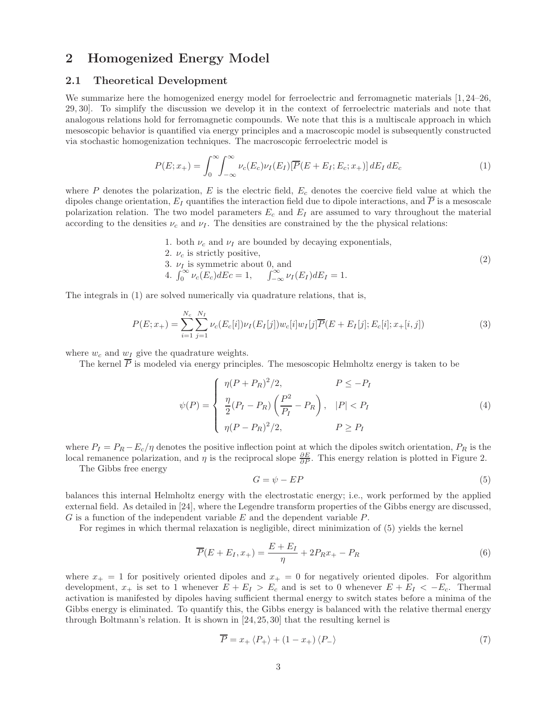## 2 Homogenized Energy Model

### 2.1 Theoretical Development

We summarize here the homogenized energy model for ferroelectric and ferromagnetic materials [1, 24–26, 29, 30]. To simplify the discussion we develop it in the context of ferroelectric materials and note that analogous relations hold for ferromagnetic compounds. We note that this is a multiscale approach in which mesoscopic behavior is quantified via energy principles and a macroscopic model is subsequently constructed via stochastic homogenization techniques. The macroscopic ferroelectric model is

$$
P(E; x_{+}) = \int_{0}^{\infty} \int_{-\infty}^{\infty} \nu_{c}(E_{c}) \nu_{I}(E_{I}) [\overline{P}(E + E_{I}; E_{c}; x_{+})] dE_{I} dE_{c}
$$
\n(1)

where  $P$  denotes the polarization,  $E$  is the electric field,  $E_c$  denotes the coercive field value at which the dipoles change orientation,  $E_I$  quantifies the interaction field due to dipole interactions, and  $\overline{P}$  is a mesoscale polarization relation. The two model parameters  $E_c$  and  $E_I$  are assumed to vary throughout the material according to the densities  $\nu_c$  and  $\nu_I$ . The densities are constrained by the the physical relations:

- 1. both  $\nu_c$  and  $\nu_I$  are bounded by decaying exponentials,
- 2.  $\nu_c$  is strictly positive,
- 3.  $\nu_I$  is symmetric about 0, and<br>4.  $\int_0^\infty \nu_c(E_c) dE_c = 1$ ,  $\int_{-\infty}^\infty \nu_I(E_I) dE_I = 1$ . (2)

The integrals in (1) are solved numerically via quadrature relations, that is,

$$
P(E; x_{+}) = \sum_{i=1}^{N_c} \sum_{j=1}^{N_I} \nu_c(E_c[i]) \nu_I(E_I[j]) w_c[i] w_I[j] \overline{P}(E + E_I[j]; E_c[i]; x_{+}[i, j])
$$
\n(3)

where  $w_c$  and  $w_I$  give the quadrature weights.

The kernel  $\overline{P}$  is modeled via energy principles. The mesoscopic Helmholtz energy is taken to be

$$
\psi(P) = \begin{cases}\n\eta(P + P_R)^2/2, & P \le -P_I \\
\frac{\eta}{2}(P_I - P_R) \left(\frac{P^2}{P_I} - P_R\right), & |P| < P_I \\
\eta(P - P_R)^2/2, & P \ge P_I\n\end{cases} \tag{4}
$$

where  $P_I = P_R - E_c/\eta$  denotes the positive inflection point at which the dipoles switch orientation,  $P_R$  is the local remanence polarization, and  $\eta$  is the reciprocal slope  $\frac{\partial E}{\partial P}$ . This energy relation is plotted in Figure 2.

The Gibbs free energy

$$
G = \psi - EP \tag{5}
$$

balances this internal Helmholtz energy with the electrostatic energy; i.e., work performed by the applied external field. As detailed in [24], where the Legendre transform properties of the Gibbs energy are discussed, G is a function of the independent variable E and the dependent variable P.

For regimes in which thermal relaxation is negligible, direct minimization of (5) yields the kernel

$$
\overline{P}(E + E_I, x_+) = \frac{E + E_I}{\eta} + 2P_R x_+ - P_R \tag{6}
$$

where  $x_+ = 1$  for positively oriented dipoles and  $x_+ = 0$  for negatively oriented dipoles. For algorithm development,  $x_+$  is set to 1 whenever  $E + E_I > E_c$  and is set to 0 whenever  $E + E_I < -E_c$ . Thermal activation is manifested by dipoles having sufficient thermal energy to switch states before a minima of the Gibbs energy is eliminated. To quantify this, the Gibbs energy is balanced with the relative thermal energy through Boltmann's relation. It is shown in [24, 25, 30] that the resulting kernel is

$$
\overline{P} = x_+ \langle P_+ \rangle + (1 - x_+) \langle P_- \rangle \tag{7}
$$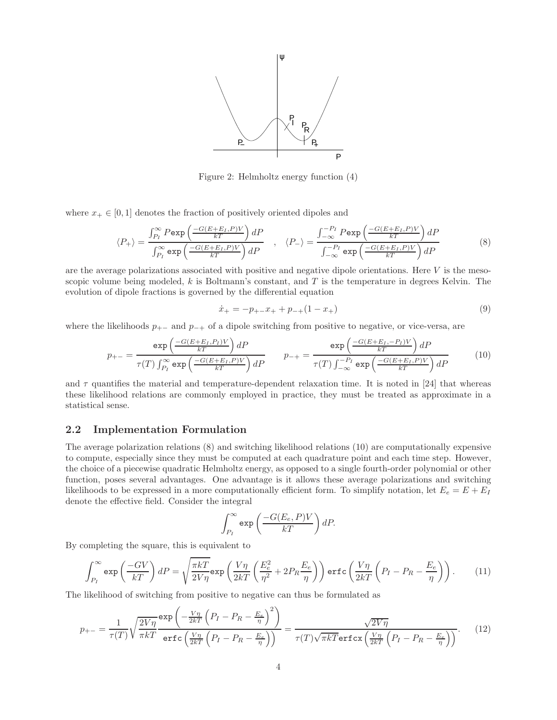

Figure 2: Helmholtz energy function (4)

where  $x_+ \in [0, 1]$  denotes the fraction of positively oriented dipoles and

$$
\langle P_{+} \rangle = \frac{\int_{P_{I}}^{\infty} P \exp\left(\frac{-G(E + E_{I}, P)V}{kT}\right) dP}{\int_{P_{I}}^{\infty} \exp\left(\frac{-G(E + E_{I}, P)V}{kT}\right) dP}, \quad \langle P_{-} \rangle = \frac{\int_{-\infty}^{-P_{I}} P \exp\left(\frac{-G(E + E_{I}, P)V}{kT}\right) dP}{\int_{-\infty}^{-P_{I}} \exp\left(\frac{-G(E + E_{I}, P)V}{kT}\right) dP}
$$
(8)

are the average polarizations associated with positive and negative dipole orientations. Here  $V$  is the mesoscopic volume being modeled,  $k$  is Boltmann's constant, and  $T$  is the temperature in degrees Kelvin. The evolution of dipole fractions is governed by the differential equation

$$
\dot{x}_{+} = -p_{+-}x_{+} + p_{-+}(1 - x_{+})
$$
\n(9)

where the likelihoods  $p_{+-}$  and  $p_{-+}$  of a dipole switching from positive to negative, or vice-versa, are

$$
p_{+-} = \frac{\exp\left(\frac{-G(E+E_I, P_I)V}{kT}\right)dP}{\tau(T)\int_{P_I}^{\infty} \exp\left(\frac{-G(E+E_I, P)V}{kT}\right)dP} \qquad p_{-+} = \frac{\exp\left(\frac{-G(E+E_I, -P_I)V}{kT}\right)dP}{\tau(T)\int_{-\infty}^{-P_I} \exp\left(\frac{-G(E+E_I, P)V}{kT}\right)dP} \qquad (10)
$$

and  $\tau$  quantifies the material and temperature-dependent relaxation time. It is noted in [24] that whereas these likelihood relations are commonly employed in practice, they must be treated as approximate in a statistical sense.

### 2.2 Implementation Formulation

The average polarization relations (8) and switching likelihood relations (10) are computationally expensive to compute, especially since they must be computed at each quadrature point and each time step. However, the choice of a piecewise quadratic Helmholtz energy, as opposed to a single fourth-order polynomial or other function, poses several advantages. One advantage is it allows these average polarizations and switching likelihoods to be expressed in a more computationally efficient form. To simplify notation, let  $E_e = E + E_I$ denote the effective field. Consider the integral

$$
\int_{P_I}^{\infty} \exp\left(\frac{-G(E_e, P)V}{kT}\right) dP.
$$

By completing the square, this is equivalent to

$$
\int_{P_I}^{\infty} \exp\left(\frac{-GV}{kT}\right) dP = \sqrt{\frac{\pi kT}{2V\eta}} \exp\left(\frac{V\eta}{2kT} \left(\frac{E_e^2}{\eta^2} + 2P_R \frac{E_e}{\eta}\right)\right) \operatorname{erfc}\left(\frac{V\eta}{2kT} \left(P_I - P_R - \frac{E_e}{\eta}\right)\right). \tag{11}
$$

The likelihood of switching from positive to negative can thus be formulated as

$$
p_{+-} = \frac{1}{\tau(T)} \sqrt{\frac{2V\eta}{\pi kT}} \frac{\exp\left(-\frac{V\eta}{2kT} \left(P_I - P_R - \frac{E_e}{\eta}\right)^2\right)}{\text{erfc}\left(\frac{V\eta}{2kT} \left(P_I - P_R - \frac{E_e}{\eta}\right)\right)} = \frac{\sqrt{2V\eta}}{\tau(T)\sqrt{\pi kT} \text{erfcx}\left(\frac{V\eta}{2kT} \left(P_I - P_R - \frac{E_e}{\eta}\right)\right)}.
$$
(12)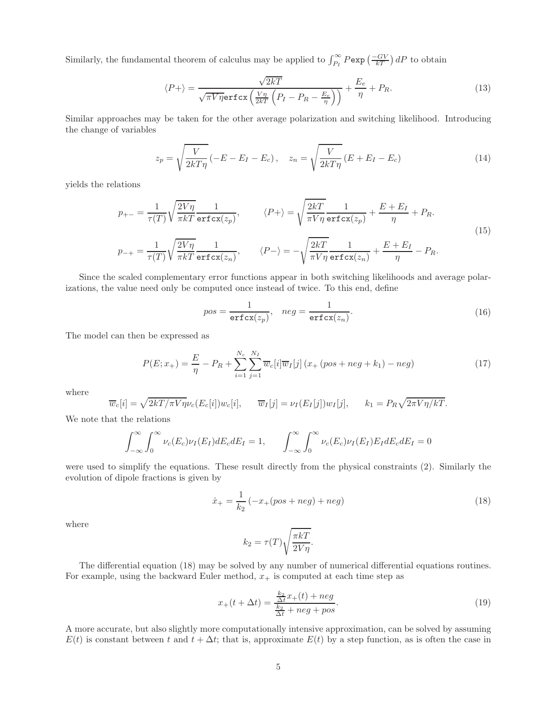Similarly, the fundamental theorem of calculus may be applied to  $\int_{P_I}^{\infty} P \exp\left(\frac{-GV}{kT}\right) dP$  to obtain

$$
\langle P+\rangle = \frac{\sqrt{2kT}}{\sqrt{\pi V \eta} \text{erfcx}\left(\frac{V\eta}{2kT}\left(P_I - P_R - \frac{E_e}{\eta}\right)\right)} + \frac{E_e}{\eta} + P_R. \tag{13}
$$

Similar approaches may be taken for the other average polarization and switching likelihood. Introducing the change of variables

$$
z_p = \sqrt{\frac{V}{2kT\eta}} \left( -E - E_I - E_c \right), \quad z_n = \sqrt{\frac{V}{2kT\eta}} \left( E + E_I - E_c \right) \tag{14}
$$

yields the relations

$$
p_{+-} = \frac{1}{\tau(T)} \sqrt{\frac{2V\eta}{\pi kT}} \frac{1}{\text{erfcx}(z_p)}, \qquad \langle P + \rangle = \sqrt{\frac{2kT}{\pi V\eta}} \frac{1}{\text{erfcx}(z_p)} + \frac{E + E_I}{\eta} + P_R.
$$
  
\n
$$
p_{-+} = \frac{1}{\tau(T)} \sqrt{\frac{2V\eta}{\pi kT}} \frac{1}{\text{erfcx}(z_n)}, \qquad \langle P - \rangle = -\sqrt{\frac{2kT}{\pi V\eta}} \frac{1}{\text{erfcx}(z_n)} + \frac{E + E_I}{\eta} - P_R.
$$
\n(15)

Since the scaled complementary error functions appear in both switching likelihoods and average polarizations, the value need only be computed once instead of twice. To this end, define

$$
pos = \frac{1}{\text{erfcx}(z_p)}, \quad neg = \frac{1}{\text{erfcx}(z_n)}.
$$
 (16)

The model can then be expressed as

$$
P(E; x_{+}) = \frac{E}{\eta} - P_{R} + \sum_{i=1}^{N_{c}} \sum_{j=1}^{N_{I}} \overline{w}_{c}[i] \overline{w}_{I}[j] (x_{+} (pos + neg + k_{1}) - neg)
$$
(17)

where

$$
\overline{w}_c[i] = \sqrt{2kT/\pi V\eta} \nu_c(E_c[i]) w_c[i], \quad \overline{w}_I[j] = \nu_I(E_I[j]) w_I[j], \quad k_1 = P_R \sqrt{2\pi V\eta/kT}.
$$

We note that the relations

$$
\int_{-\infty}^{\infty} \int_{0}^{\infty} \nu_c(E_c) \nu_I(E_I) dE_c dE_I = 1, \qquad \int_{-\infty}^{\infty} \int_{0}^{\infty} \nu_c(E_c) \nu_I(E_I) E_I dE_c dE_I = 0
$$

were used to simplify the equations. These result directly from the physical constraints (2). Similarly the evolution of dipole fractions is given by

$$
\dot{x}_{+} = \frac{1}{k_2} \left( -x_{+}(pos + neg) + neg \right) \tag{18}
$$

where

$$
k_2 = \tau(T) \sqrt{\frac{\pi kT}{2V\eta}}.
$$

The differential equation (18) may be solved by any number of numerical differential equations routines. For example, using the backward Euler method,  $x_+$  is computed at each time step as

$$
x_{+}(t + \Delta t) = \frac{\frac{k_2}{\Delta t}x_{+}(t) + neg}{\frac{k_2}{\Delta t} + neg + pos}.
$$
\n(19)

A more accurate, but also slightly more computationally intensive approximation, can be solved by assuming  $E(t)$  is constant between t and  $t + \Delta t$ ; that is, approximate  $E(t)$  by a step function, as is often the case in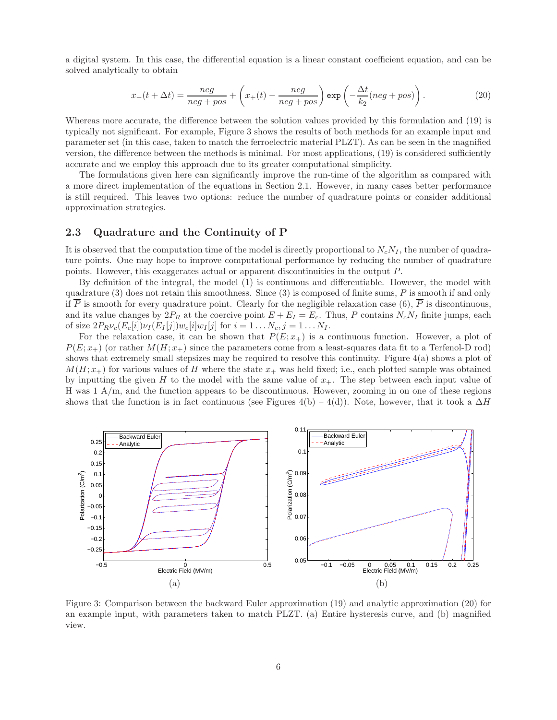a digital system. In this case, the differential equation is a linear constant coefficient equation, and can be solved analytically to obtain

$$
x_{+}(t + \Delta t) = \frac{neg}{neg + pos} + \left(x_{+}(t) - \frac{neg}{neg + pos}\right) \exp\left(-\frac{\Delta t}{k_{2}}(neg + pos)\right).
$$
 (20)

Whereas more accurate, the difference between the solution values provided by this formulation and (19) is typically not significant. For example, Figure 3 shows the results of both methods for an example input and parameter set (in this case, taken to match the ferroelectric material PLZT). As can be seen in the magnified version, the difference between the methods is minimal. For most applications, (19) is considered sufficiently accurate and we employ this approach due to its greater computational simplicity.

The formulations given here can significantly improve the run-time of the algorithm as compared with a more direct implementation of the equations in Section 2.1. However, in many cases better performance is still required. This leaves two options: reduce the number of quadrature points or consider additional approximation strategies.

### 2.3 Quadrature and the Continuity of P

It is observed that the computation time of the model is directly proportional to  $N_cN_I$ , the number of quadrature points. One may hope to improve computational performance by reducing the number of quadrature points. However, this exaggerates actual or apparent discontinuities in the output P.

By definition of the integral, the model (1) is continuous and differentiable. However, the model with quadrature  $(3)$  does not retain this smoothness. Since  $(3)$  is composed of finite sums, P is smooth if and only if  $\overline{P}$  is smooth for every quadrature point. Clearly for the negligible relaxation case (6),  $\overline{P}$  is discontinuous, and its value changes by  $2P_R$  at the coercive point  $E + E_I = E_c$ . Thus, P contains  $N_cN_I$  finite jumps, each of size  $2P_R\nu_c(E_c[i])\nu_I(E_I[j])w_c[i]w_I[j]$  for  $i = 1 \dots N_c, j = 1 \dots N_I$ .

For the relaxation case, it can be shown that  $P(E; x<sub>+</sub>)$  is a continuous function. However, a plot of  $P(E; x_+)$  (or rather  $M(H; x_+)$  since the parameters come from a least-squares data fit to a Terfenol-D rod) shows that extremely small stepsizes may be required to resolve this continuity. Figure 4(a) shows a plot of  $M(H; x<sub>+</sub>)$  for various values of H where the state  $x<sub>+</sub>$  was held fixed; i.e., each plotted sample was obtained by inputting the given H to the model with the same value of  $x_{+}$ . The step between each input value of H was 1 A/m, and the function appears to be discontinuous. However, zooming in on one of these regions shows that the function is in fact continuous (see Figures 4(b) – 4(d)). Note, however, that it took a  $\Delta H$ 



Figure 3: Comparison between the backward Euler approximation (19) and analytic approximation (20) for an example input, with parameters taken to match PLZT. (a) Entire hysteresis curve, and (b) magnified view.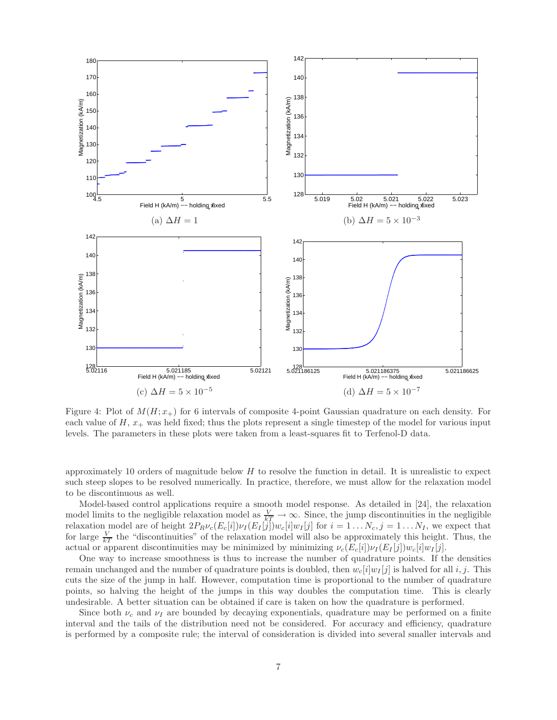

Figure 4: Plot of  $M(H; x<sub>+</sub>)$  for 6 intervals of composite 4-point Gaussian quadrature on each density. For each value of  $H, x_+$  was held fixed; thus the plots represent a single timestep of the model for various input levels. The parameters in these plots were taken from a least-squares fit to Terfenol-D data.

approximately 10 orders of magnitude below  $H$  to resolve the function in detail. It is unrealistic to expect such steep slopes to be resolved numerically. In practice, therefore, we must allow for the relaxation model to be discontinuous as well.

Model-based control applications require a smooth model response. As detailed in [24], the relaxation model limits to the negligible relaxation model as  $\frac{V}{kT} \to \infty$ . Since, the jump discontinuities in the negligible relaxation model are of height  $2P_R\nu_c(E_c[i])\nu_I(E_I[j])w_c[i]w_I[j]$  for  $i = 1...N_c, j = 1...N_I$ , we expect that for large  $\frac{V}{kT}$  the "discontinuities" of the relaxation model will also be approximately this height. Thus, the actual or apparent discontinuities may be minimized by minimizing  $\nu_c(E_c[i])\nu_I(E_I[j])w_c[i]w_I[j]$ .

One way to increase smoothness is thus to increase the number of quadrature points. If the densities remain unchanged and the number of quadrature points is doubled, then  $w_c[i]w_I[j]$  is halved for all i, j. This cuts the size of the jump in half. However, computation time is proportional to the number of quadrature points, so halving the height of the jumps in this way doubles the computation time. This is clearly undesirable. A better situation can be obtained if care is taken on how the quadrature is performed.

Since both  $\nu_c$  and  $\nu_I$  are bounded by decaying exponentials, quadrature may be performed on a finite interval and the tails of the distribution need not be considered. For accuracy and efficiency, quadrature is performed by a composite rule; the interval of consideration is divided into several smaller intervals and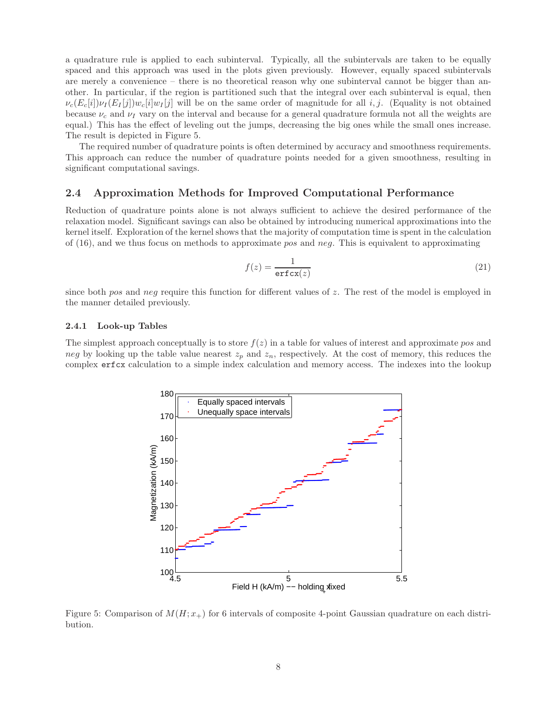a quadrature rule is applied to each subinterval. Typically, all the subintervals are taken to be equally spaced and this approach was used in the plots given previously. However, equally spaced subintervals are merely a convenience – there is no theoretical reason why one subinterval cannot be bigger than another. In particular, if the region is partitioned such that the integral over each subinterval is equal, then  $\nu_c(E_c[i])\nu_I(E_I[j])w_c[i]\nu_I[j]$  will be on the same order of magnitude for all i, j. (Equality is not obtained because  $\nu_c$  and  $\nu_I$  vary on the interval and because for a general quadrature formula not all the weights are equal.) This has the effect of leveling out the jumps, decreasing the big ones while the small ones increase. The result is depicted in Figure 5.

The required number of quadrature points is often determined by accuracy and smoothness requirements. This approach can reduce the number of quadrature points needed for a given smoothness, resulting in significant computational savings.

### 2.4 Approximation Methods for Improved Computational Performance

Reduction of quadrature points alone is not always sufficient to achieve the desired performance of the relaxation model. Significant savings can also be obtained by introducing numerical approximations into the kernel itself. Exploration of the kernel shows that the majority of computation time is spent in the calculation of  $(16)$ , and we thus focus on methods to approximate pos and neg. This is equivalent to approximating

$$
f(z) = \frac{1}{\text{erfcx}(z)}\tag{21}
$$

since both pos and neg require this function for different values of z. The rest of the model is employed in the manner detailed previously.

#### 2.4.1 Look-up Tables

The simplest approach conceptually is to store  $f(z)$  in a table for values of interest and approximate pos and neg by looking up the table value nearest  $z_p$  and  $z_n$ , respectively. At the cost of memory, this reduces the complex erfcx calculation to a simple index calculation and memory access. The indexes into the lookup



Figure 5: Comparison of  $M(H; x<sub>+</sub>)$  for 6 intervals of composite 4-point Gaussian quadrature on each distribution.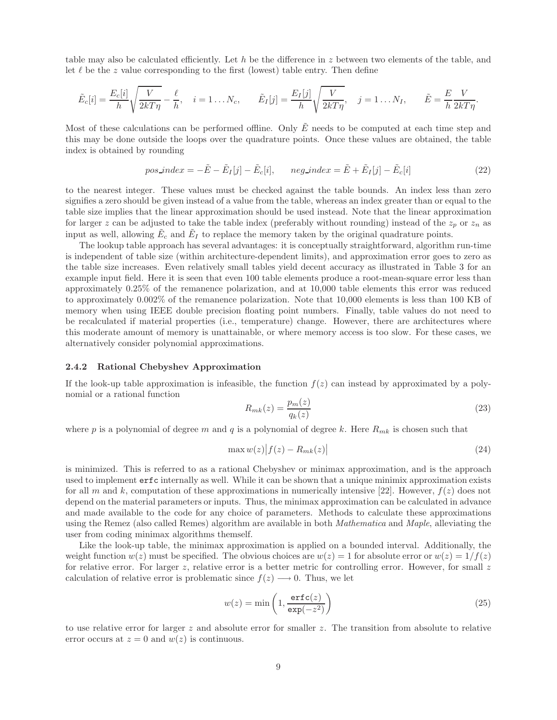table may also be calculated efficiently. Let h be the difference in z between two elements of the table, and let  $\ell$  be the z value corresponding to the first (lowest) table entry. Then define

$$
\tilde{E}_c[i] = \frac{E_c[i]}{h} \sqrt{\frac{V}{2kT\eta}} - \frac{\ell}{h}, \quad i = 1 \dots N_c, \qquad \tilde{E}_I[j] = \frac{E_I[j]}{h} \sqrt{\frac{V}{2kT\eta}}, \quad j = 1 \dots N_I, \qquad \tilde{E} = \frac{E}{h} \frac{V}{2kT\eta}.
$$

Most of these calculations can be performed offline. Only  $\tilde{E}$  needs to be computed at each time step and this may be done outside the loops over the quadrature points. Once these values are obtained, the table index is obtained by rounding

$$
pos\_index = -\tilde{E} - \tilde{E}_I[j] - \tilde{E}_c[i], \quad neg\_index = \tilde{E} + \tilde{E}_I[j] - \tilde{E}_c[i]
$$
\n
$$
(22)
$$

to the nearest integer. These values must be checked against the table bounds. An index less than zero signifies a zero should be given instead of a value from the table, whereas an index greater than or equal to the table size implies that the linear approximation should be used instead. Note that the linear approximation for larger z can be adjusted to take the table index (preferably without rounding) instead of the  $z_p$  or  $z_n$  as input as well, allowing  $\tilde{E}_c$  and  $\tilde{E}_I$  to replace the memory taken by the original quadrature points.

The lookup table approach has several advantages: it is conceptually straightforward, algorithm run-time is independent of table size (within architecture-dependent limits), and approximation error goes to zero as the table size increases. Even relatively small tables yield decent accuracy as illustrated in Table 3 for an example input field. Here it is seen that even 100 table elements produce a root-mean-square error less than approximately 0.25% of the remanence polarization, and at 10,000 table elements this error was reduced to approximately 0.002% of the remanence polarization. Note that 10,000 elements is less than 100 KB of memory when using IEEE double precision floating point numbers. Finally, table values do not need to be recalculated if material properties (i.e., temperature) change. However, there are architectures where this moderate amount of memory is unattainable, or where memory access is too slow. For these cases, we alternatively consider polynomial approximations.

#### 2.4.2 Rational Chebyshev Approximation

If the look-up table approximation is infeasible, the function  $f(z)$  can instead by approximated by a polynomial or a rational function

$$
R_{mk}(z) = \frac{p_m(z)}{q_k(z)}\tag{23}
$$

where p is a polynomial of degree m and q is a polynomial of degree k. Here  $R_{mk}$  is chosen such that

$$
\max w(z) |f(z) - R_{mk}(z)| \tag{24}
$$

is minimized. This is referred to as a rational Chebyshev or minimax approximation, and is the approach used to implement erfc internally as well. While it can be shown that a unique minimix approximation exists for all m and k, computation of these approximations in numerically intensive [22]. However,  $f(z)$  does not depend on the material parameters or inputs. Thus, the minimax approximation can be calculated in advance and made available to the code for any choice of parameters. Methods to calculate these approximations using the Remez (also called Remes) algorithm are available in both *Mathematica* and *Maple*, alleviating the user from coding minimax algorithms themself.

Like the look-up table, the minimax approximation is applied on a bounded interval. Additionally, the weight function  $w(z)$  must be specified. The obvious choices are  $w(z) = 1$  for absolute error or  $w(z) = 1/f(z)$ for relative error. For larger  $z$ , relative error is a better metric for controlling error. However, for small  $z$ calculation of relative error is problematic since  $f(z) \longrightarrow 0$ . Thus, we let

$$
w(z) = \min\left(1, \frac{\text{erfc}(z)}{\exp(-z^2)}\right)
$$
 (25)

to use relative error for larger z and absolute error for smaller z. The transition from absolute to relative error occurs at  $z = 0$  and  $w(z)$  is continuous.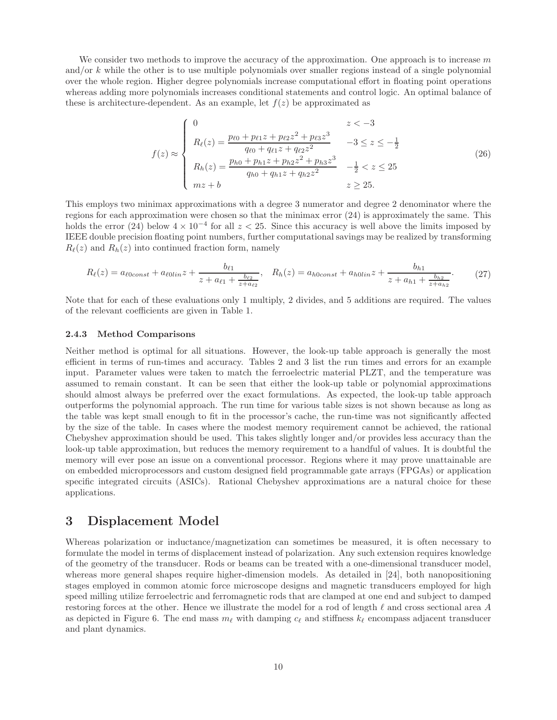We consider two methods to improve the accuracy of the approximation. One approach is to increase  $m$ and/or k while the other is to use multiple polynomials over smaller regions instead of a single polynomial over the whole region. Higher degree polynomials increase computational effort in floating point operations whereas adding more polynomials increases conditional statements and control logic. An optimal balance of these is architecture-dependent. As an example, let  $f(z)$  be approximated as

$$
f(z) \approx \begin{cases} 0 & z < -3 \\ R_{\ell}(z) = \frac{p_{\ell 0} + p_{\ell 1} z + p_{\ell 2} z^2 + p_{\ell 3} z^3}{q_{\ell 0} + q_{\ell 1} z + q_{\ell 2} z^2} & -3 \le z \le -\frac{1}{2} \\ R_h(z) = \frac{p_{h0} + p_{h1} z + p_{h2} z^2 + p_{h3} z^3}{q_{h0} + q_{h1} z + q_{h2} z^2} & -\frac{1}{2} < z \le 25 \\ mz + b & z \ge 25. \end{cases}
$$
(26)

This employs two minimax approximations with a degree 3 numerator and degree 2 denominator where the regions for each approximation were chosen so that the minimax error (24) is approximately the same. This holds the error (24) below  $4 \times 10^{-4}$  for all  $z < 25$ . Since this accuracy is well above the limits imposed by IEEE double precision floating point numbers, further computational savings may be realized by transforming  $R_{\ell}(z)$  and  $R_{h}(z)$  into continued fraction form, namely

$$
R_{\ell}(z) = a_{\ell 0 const} + a_{\ell 0 lin} z + \frac{b_{\ell 1}}{z + a_{\ell 1} + \frac{b_{\ell 2}}{z + a_{\ell 2}}}, \quad R_{h}(z) = a_{h0 const} + a_{h0 lin} z + \frac{b_{h1}}{z + a_{h1} + \frac{b_{h2}}{z + a_{h2}}}.
$$
(27)

Note that for each of these evaluations only 1 multiply, 2 divides, and 5 additions are required. The values of the relevant coefficients are given in Table 1.

#### 2.4.3 Method Comparisons

Neither method is optimal for all situations. However, the look-up table approach is generally the most efficient in terms of run-times and accuracy. Tables 2 and 3 list the run times and errors for an example input. Parameter values were taken to match the ferroelectric material PLZT, and the temperature was assumed to remain constant. It can be seen that either the look-up table or polynomial approximations should almost always be preferred over the exact formulations. As expected, the look-up table approach outperforms the polynomial approach. The run time for various table sizes is not shown because as long as the table was kept small enough to fit in the processor's cache, the run-time was not significantly affected by the size of the table. In cases where the modest memory requirement cannot be achieved, the rational Chebyshev approximation should be used. This takes slightly longer and/or provides less accuracy than the look-up table approximation, but reduces the memory requirement to a handful of values. It is doubtful the memory will ever pose an issue on a conventional processor. Regions where it may prove unattainable are on embedded microprocessors and custom designed field programmable gate arrays (FPGAs) or application specific integrated circuits (ASICs). Rational Chebyshev approximations are a natural choice for these applications.

### 3 Displacement Model

Whereas polarization or inductance/magnetization can sometimes be measured, it is often necessary to formulate the model in terms of displacement instead of polarization. Any such extension requires knowledge of the geometry of the transducer. Rods or beams can be treated with a one-dimensional transducer model, whereas more general shapes require higher-dimension models. As detailed in [24], both nanopositioning stages employed in common atomic force microscope designs and magnetic transducers employed for high speed milling utilize ferroelectric and ferromagnetic rods that are clamped at one end and subject to damped restoring forces at the other. Hence we illustrate the model for a rod of length  $\ell$  and cross sectional area A as depicted in Figure 6. The end mass  $m_{\ell}$  with damping  $c_{\ell}$  and stiffness  $k_{\ell}$  encompass adjacent transducer and plant dynamics.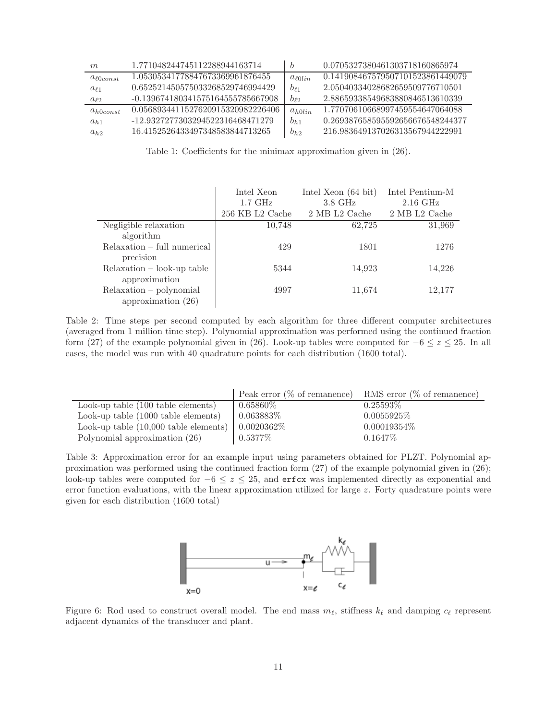| m                  | 1.771048244745112288944163714     | b            | 0.0705327380461303718160865974   |
|--------------------|-----------------------------------|--------------|----------------------------------|
| $a_{\ell 0 const}$ | 1.05305341778847673369961876455   | $a_{\ell}$   | 0.141908467579507101523861449079 |
| $a_{\ell1}$        | 0.652521450575033268529746994429  | $b_{\ell 1}$ | 2.05040334028682659509776710501  |
| $a_{\ell2}$        | -0.139674180341575164555785667908 | $0\rho_2$    | 2.88659338549683880846513610339  |
| $a_{h0const}$      | 0.0568934411527620915320982226406 | $a_{h0lin}$  | 1.77070610668997459554647064088  |
| $a_{h1}$           | -12.9327277303294522316468471279  | $b_{h1}$     | 0.269387658595592656676548244377 |
| $a_{h2}$           | 16.4152526433497348583844713265   | $b_{h2}$     | 216.983649137026313567944222991  |

Table 1: Coefficients for the minimax approximation given in (26).

|                               | Intel Xeon          | Intel Xeon $(64 \text{ bit})$ | Intel Pentium-M    |
|-------------------------------|---------------------|-------------------------------|--------------------|
|                               | $1.7\ \mathrm{GHz}$ | $3.8\text{ GHz}$              | $2.16 \text{ GHz}$ |
|                               | 256 KB L2 Cache     | 2 MB L2 Cache                 | 2 MB L2 Cache      |
| Negligible relaxation         | 10,748              | 62,725                        | 31,969             |
| algorithm                     |                     |                               |                    |
| $Relaxation$ – full numerical | 429                 | 1801                          | 1276               |
| precision                     |                     |                               |                    |
| $Relaxation - look-up table$  | 5344                | 14,923                        | 14,226             |
| approximation                 |                     |                               |                    |
| $Relaxation - polynomial$     | 4997                | 11,674                        | 12,177             |
| approximation $(26)$          |                     |                               |                    |

Table 2: Time steps per second computed by each algorithm for three different computer architectures (averaged from 1 million time step). Polynomial approximation was performed using the continued fraction form (27) of the example polynomial given in (26). Look-up tables were computed for  $-6 \le z \le 25$ . In all cases, the model was run with 40 quadrature points for each distribution (1600 total).

|                                                                 | Peak error $(\%$ of remanence) | RMS error $(\%$ of remanence) |
|-----------------------------------------------------------------|--------------------------------|-------------------------------|
| Look-up table (100 table elements)                              | $0.65860\%$                    | $0.25593\%$                   |
| Look-up table $(1000 \text{ table elements})$                   | $0.063883\%$                   | $0.0055925\%$                 |
| Look-up table $(10,000 \text{ table elements})$   $0.0020362\%$ |                                | $0.00019354\%$                |
| Polynomial approximation (26)                                   | $0.5377\%$                     | $0.1647\%$                    |

Table 3: Approximation error for an example input using parameters obtained for PLZT. Polynomial approximation was performed using the continued fraction form (27) of the example polynomial given in (26); look-up tables were computed for  $-6 \le z \le 25$ , and erfcx was implemented directly as exponential and error function evaluations, with the linear approximation utilized for large z. Forty quadrature points were given for each distribution (1600 total)



Figure 6: Rod used to construct overall model. The end mass  $m_\ell$ , stiffness  $k_\ell$  and damping  $c_\ell$  represent adjacent dynamics of the transducer and plant.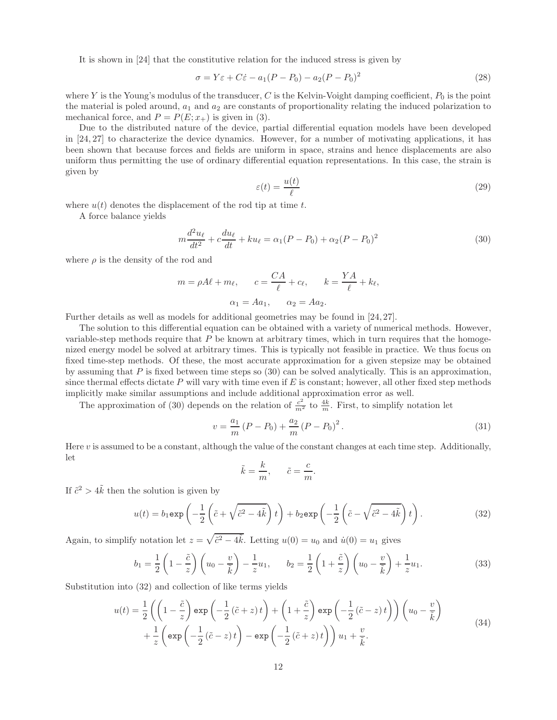It is shown in [24] that the constitutive relation for the induced stress is given by

$$
\sigma = Y\varepsilon + C\dot{\varepsilon} - a_1(P - P_0) - a_2(P - P_0)^2
$$
\n(28)

where Y is the Young's modulus of the transducer, C is the Kelvin-Voight damping coefficient,  $P_0$  is the point the material is poled around,  $a_1$  and  $a_2$  are constants of proportionality relating the induced polarization to mechanical force, and  $P = P(E; x<sub>+</sub>)$  is given in (3).

Due to the distributed nature of the device, partial differential equation models have been developed in [24, 27] to characterize the device dynamics. However, for a number of motivating applications, it has been shown that because forces and fields are uniform in space, strains and hence displacements are also uniform thus permitting the use of ordinary differential equation representations. In this case, the strain is given by

$$
\varepsilon(t) = \frac{u(t)}{\ell} \tag{29}
$$

where  $u(t)$  denotes the displacement of the rod tip at time t.

A force balance yields

$$
m\frac{d^2u_{\ell}}{dt^2} + c\frac{du_{\ell}}{dt} + ku_{\ell} = \alpha_1(P - P_0) + \alpha_2(P - P_0)^2
$$
\n(30)

where  $\rho$  is the density of the rod and

$$
m = \rho A\ell + m_{\ell}, \qquad c = \frac{CA}{\ell} + c_{\ell}, \qquad k = \frac{YA}{\ell} + k_{\ell},
$$

$$
\alpha_1 = Aa_1, \qquad \alpha_2 = Aa_2.
$$

Further details as well as models for additional geometries may be found in [24, 27].

The solution to this differential equation can be obtained with a variety of numerical methods. However, variable-step methods require that  $P$  be known at arbitrary times, which in turn requires that the homogenized energy model be solved at arbitrary times. This is typically not feasible in practice. We thus focus on fixed time-step methods. Of these, the most accurate approximation for a given stepsize may be obtained by assuming that P is fixed between time steps so  $(30)$  can be solved analytically. This is an approximation, since thermal effects dictate  $P$  will vary with time even if  $E$  is constant; however, all other fixed step methods implicitly make similar assumptions and include additional approximation error as well.

The approximation of (30) depends on the relation of  $\frac{c^2}{m^2}$  to  $\frac{4k}{m}$ . First, to simplify notation let

$$
v = \frac{a_1}{m} (P - P_0) + \frac{a_2}{m} (P - P_0)^2.
$$
 (31)

Here  $v$  is assumed to be a constant, although the value of the constant changes at each time step. Additionally, let

$$
\tilde{k} = \frac{k}{m}, \qquad \tilde{c} = \frac{c}{m}
$$

If  $\tilde{c}^2 > 4\tilde{k}$  then the solution is given by

$$
u(t) = b_1 \exp\left(-\frac{1}{2}\left(\tilde{c} + \sqrt{\tilde{c}^2 - 4\tilde{k}}\right)t\right) + b_2 \exp\left(-\frac{1}{2}\left(\tilde{c} - \sqrt{\tilde{c}^2 - 4\tilde{k}}\right)t\right).
$$
 (32)

.

Again, to simplify notation let  $z = \sqrt{\tilde{c}^2 - 4\tilde{k}}$ . Letting  $u(0) = u_0$  and  $\dot{u}(0) = u_1$  gives

$$
b_1 = \frac{1}{2} \left( 1 - \frac{\tilde{c}}{z} \right) \left( u_0 - \frac{v}{\tilde{k}} \right) - \frac{1}{z} u_1, \qquad b_2 = \frac{1}{2} \left( 1 + \frac{\tilde{c}}{z} \right) \left( u_0 - \frac{v}{\tilde{k}} \right) + \frac{1}{z} u_1.
$$
 (33)

Substitution into (32) and collection of like terms yields

$$
u(t) = \frac{1}{2} \left( \left( 1 - \frac{\tilde{c}}{z} \right) \exp\left( -\frac{1}{2} (\tilde{c} + z) t \right) + \left( 1 + \frac{\tilde{c}}{z} \right) \exp\left( -\frac{1}{2} (\tilde{c} - z) t \right) \right) \left( u_0 - \frac{v}{\tilde{k}} \right) + \frac{1}{z} \left( \exp\left( -\frac{1}{2} (\tilde{c} - z) t \right) - \exp\left( -\frac{1}{2} (\tilde{c} + z) t \right) \right) u_1 + \frac{v}{\tilde{k}}.
$$
\n(34)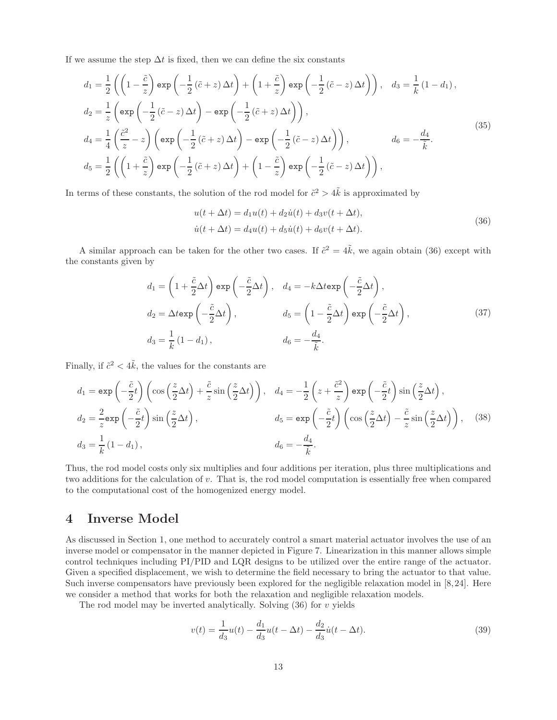If we assume the step  $\Delta t$  is fixed, then we can define the six constants

$$
d_1 = \frac{1}{2} \left( \left( 1 - \frac{\tilde{c}}{z} \right) \exp \left( -\frac{1}{2} (\tilde{c} + z) \Delta t \right) + \left( 1 + \frac{\tilde{c}}{z} \right) \exp \left( -\frac{1}{2} (\tilde{c} - z) \Delta t \right) \right), \quad d_3 = \frac{1}{k} (1 - d_1),
$$
  
\n
$$
d_2 = \frac{1}{z} \left( \exp \left( -\frac{1}{2} (\tilde{c} - z) \Delta t \right) - \exp \left( -\frac{1}{2} (\tilde{c} + z) \Delta t \right) \right),
$$
  
\n
$$
d_4 = \frac{1}{4} \left( \frac{\tilde{c}^2}{z} - z \right) \left( \exp \left( -\frac{1}{2} (\tilde{c} + z) \Delta t \right) - \exp \left( -\frac{1}{2} (\tilde{c} - z) \Delta t \right) \right), \qquad d_6 = -\frac{d_4}{\tilde{k}}.
$$
  
\n
$$
d_5 = \frac{1}{2} \left( \left( 1 + \frac{\tilde{c}}{z} \right) \exp \left( -\frac{1}{2} (\tilde{c} + z) \Delta t \right) + \left( 1 - \frac{\tilde{c}}{z} \right) \exp \left( -\frac{1}{2} (\tilde{c} - z) \Delta t \right) \right),
$$
  
\n(35)

In terms of these constants, the solution of the rod model for  $\tilde{c}^2 > 4\tilde{k}$  is approximated by

$$
u(t + \Delta t) = d_1 u(t) + d_2 \dot{u}(t) + d_3 v(t + \Delta t),
$$
  
\n
$$
\dot{u}(t + \Delta t) = d_4 u(t) + d_5 \dot{u}(t) + d_6 v(t + \Delta t).
$$
\n(36)

A similar approach can be taken for the other two cases. If  $\tilde{c}^2 = 4\tilde{k}$ , we again obtain (36) except with the constants given by

$$
d_1 = \left(1 + \frac{\tilde{c}}{2}\Delta t\right) \exp\left(-\frac{\tilde{c}}{2}\Delta t\right), \quad d_4 = -k\Delta t \exp\left(-\frac{\tilde{c}}{2}\Delta t\right),
$$
  
\n
$$
d_2 = \Delta t \exp\left(-\frac{\tilde{c}}{2}\Delta t\right), \qquad d_5 = \left(1 - \frac{\tilde{c}}{2}\Delta t\right) \exp\left(-\frac{\tilde{c}}{2}\Delta t\right),
$$
  
\n
$$
d_3 = \frac{1}{k}\left(1 - d_1\right), \qquad d_6 = -\frac{d_4}{\tilde{k}}.
$$
\n(37)

Finally, if  $\tilde{c}^2 < 4\tilde{k}$ , the values for the constants are

$$
d_1 = \exp\left(-\frac{\tilde{c}}{2}t\right) \left(\cos\left(\frac{z}{2}\Delta t\right) + \frac{\tilde{c}}{z}\sin\left(\frac{z}{2}\Delta t\right)\right), \quad d_4 = -\frac{1}{2}\left(z + \frac{\tilde{c}^2}{z}\right) \exp\left(-\frac{\tilde{c}}{2}t\right) \sin\left(\frac{z}{2}\Delta t\right),
$$
  
\n
$$
d_2 = \frac{2}{z} \exp\left(-\frac{\tilde{c}}{2}t\right) \sin\left(\frac{z}{2}\Delta t\right), \qquad d_5 = \exp\left(-\frac{\tilde{c}}{2}t\right) \left(\cos\left(\frac{z}{2}\Delta t\right) - \frac{\tilde{c}}{z}\sin\left(\frac{z}{2}\Delta t\right)\right), \quad (38)
$$
  
\n
$$
d_3 = \frac{1}{k} (1 - d_1), \qquad d_6 = -\frac{d_4}{\tilde{k}}.
$$

Thus, the rod model costs only six multiplies and four additions per iteration, plus three multiplications and two additions for the calculation of v. That is, the rod model computation is essentially free when compared to the computational cost of the homogenized energy model.

# 4 Inverse Model

As discussed in Section 1, one method to accurately control a smart material actuator involves the use of an inverse model or compensator in the manner depicted in Figure 7. Linearization in this manner allows simple control techniques including PI/PID and LQR designs to be utilized over the entire range of the actuator. Given a specified displacement, we wish to determine the field necessary to bring the actuator to that value. Such inverse compensators have previously been explored for the negligible relaxation model in [8,24]. Here we consider a method that works for both the relaxation and negligible relaxation models.

The rod model may be inverted analytically. Solving  $(36)$  for v yields

$$
v(t) = \frac{1}{d_3}u(t) - \frac{d_1}{d_3}u(t - \Delta t) - \frac{d_2}{d_3}\dot{u}(t - \Delta t).
$$
\n(39)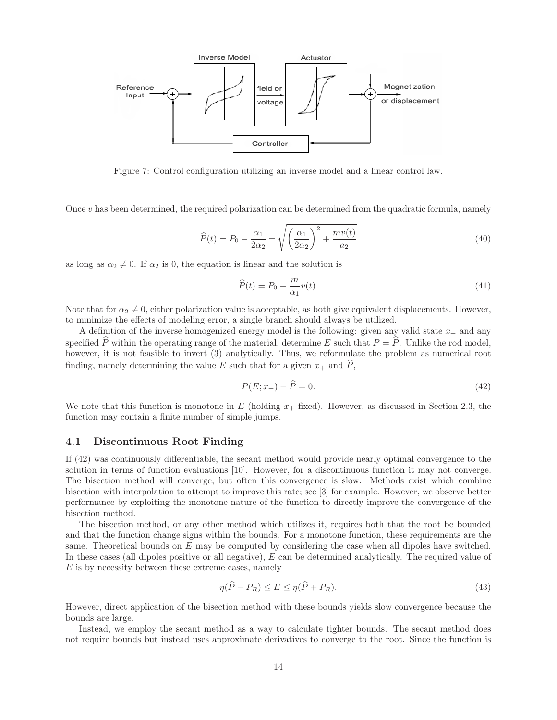

Figure 7: Control configuration utilizing an inverse model and a linear control law.

Once  $v$  has been determined, the required polarization can be determined from the quadratic formula, namely

$$
\widehat{P}(t) = P_0 - \frac{\alpha_1}{2\alpha_2} \pm \sqrt{\left(\frac{\alpha_1}{2\alpha_2}\right)^2 + \frac{mv(t)}{a_2}}\tag{40}
$$

as long as  $\alpha_2 \neq 0$ . If  $\alpha_2$  is 0, the equation is linear and the solution is

$$
\widehat{P}(t) = P_0 + \frac{m}{\alpha_1} v(t). \tag{41}
$$

Note that for  $\alpha_2 \neq 0$ , either polarization value is acceptable, as both give equivalent displacements. However, to minimize the effects of modeling error, a single branch should always be utilized.

A definition of the inverse homogenized energy model is the following: given any valid state  $x_+$  and any specified  $\hat{P}$  within the operating range of the material, determine E such that  $P = \hat{P}$ . Unlike the rod model, however, it is not feasible to invert (3) analytically. Thus, we reformulate the problem as numerical root finding, namely determining the value E such that for a given  $x_+$  and  $\hat{P}$ ,

$$
P(E; x_{+}) - \hat{P} = 0. \tag{42}
$$

We note that this function is monotone in E (holding  $x_+$  fixed). However, as discussed in Section 2.3, the function may contain a finite number of simple jumps.

### 4.1 Discontinuous Root Finding

If (42) was continuously differentiable, the secant method would provide nearly optimal convergence to the solution in terms of function evaluations [10]. However, for a discontinuous function it may not converge. The bisection method will converge, but often this convergence is slow. Methods exist which combine bisection with interpolation to attempt to improve this rate; see [3] for example. However, we observe better performance by exploiting the monotone nature of the function to directly improve the convergence of the bisection method.

The bisection method, or any other method which utilizes it, requires both that the root be bounded and that the function change signs within the bounds. For a monotone function, these requirements are the same. Theoretical bounds on  $E$  may be computed by considering the case when all dipoles have switched. In these cases (all dipoles positive or all negative), E can be determined analytically. The required value of  $E$  is by necessity between these extreme cases, namely

$$
\eta(\widehat{P} - P_R) \le E \le \eta(\widehat{P} + P_R). \tag{43}
$$

However, direct application of the bisection method with these bounds yields slow convergence because the bounds are large.

Instead, we employ the secant method as a way to calculate tighter bounds. The secant method does not require bounds but instead uses approximate derivatives to converge to the root. Since the function is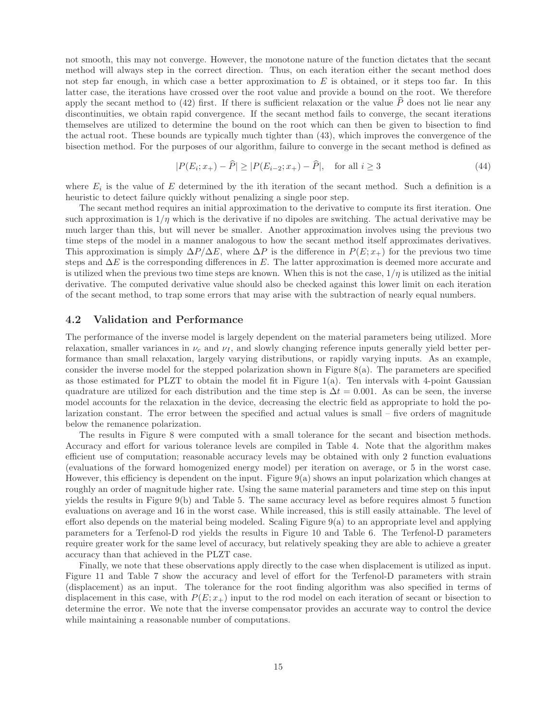not smooth, this may not converge. However, the monotone nature of the function dictates that the secant method will always step in the correct direction. Thus, on each iteration either the secant method does not step far enough, in which case a better approximation to  $E$  is obtained, or it steps too far. In this latter case, the iterations have crossed over the root value and provide a bound on the root. We therefore apply the secant method to  $(42)$  first. If there is sufficient relaxation or the value P does not lie near any discontinuities, we obtain rapid convergence. If the secant method fails to converge, the secant iterations themselves are utilized to determine the bound on the root which can then be given to bisection to find the actual root. These bounds are typically much tighter than (43), which improves the convergence of the bisection method. For the purposes of our algorithm, failure to converge in the secant method is defined as

$$
|P(E_i; x_+) - \widehat{P}| \ge |P(E_{i-2}; x_+) - \widehat{P}|, \text{ for all } i \ge 3
$$
 (44)

where  $E_i$  is the value of E determined by the ith iteration of the secant method. Such a definition is a heuristic to detect failure quickly without penalizing a single poor step.

The secant method requires an initial approximation to the derivative to compute its first iteration. One such approximation is  $1/\eta$  which is the derivative if no dipoles are switching. The actual derivative may be much larger than this, but will never be smaller. Another approximation involves using the previous two time steps of the model in a manner analogous to how the secant method itself approximates derivatives. This approximation is simply  $\Delta P/\Delta E$ , where  $\Delta P$  is the difference in  $P(E; x_{+})$  for the previous two time steps and  $\Delta E$  is the corresponding differences in E. The latter approximation is deemed more accurate and is utilized when the previous two time steps are known. When this is not the case,  $1/\eta$  is utilized as the initial derivative. The computed derivative value should also be checked against this lower limit on each iteration of the secant method, to trap some errors that may arise with the subtraction of nearly equal numbers.

### 4.2 Validation and Performance

The performance of the inverse model is largely dependent on the material parameters being utilized. More relaxation, smaller variances in  $\nu_c$  and  $\nu_I$ , and slowly changing reference inputs generally yield better performance than small relaxation, largely varying distributions, or rapidly varying inputs. As an example, consider the inverse model for the stepped polarization shown in Figure  $8(a)$ . The parameters are specified as those estimated for PLZT to obtain the model fit in Figure 1(a). Ten intervals with 4-point Gaussian quadrature are utilized for each distribution and the time step is  $\Delta t = 0.001$ . As can be seen, the inverse model accounts for the relaxation in the device, decreasing the electric field as appropriate to hold the polarization constant. The error between the specified and actual values is small – five orders of magnitude below the remanence polarization.

The results in Figure 8 were computed with a small tolerance for the secant and bisection methods. Accuracy and effort for various tolerance levels are compiled in Table 4. Note that the algorithm makes efficient use of computation; reasonable accuracy levels may be obtained with only 2 function evaluations (evaluations of the forward homogenized energy model) per iteration on average, or 5 in the worst case. However, this efficiency is dependent on the input. Figure 9(a) shows an input polarization which changes at roughly an order of magnitude higher rate. Using the same material parameters and time step on this input yields the results in Figure 9(b) and Table 5. The same accuracy level as before requires almost 5 function evaluations on average and 16 in the worst case. While increased, this is still easily attainable. The level of effort also depends on the material being modeled. Scaling Figure 9(a) to an appropriate level and applying parameters for a Terfenol-D rod yields the results in Figure 10 and Table 6. The Terfenol-D parameters require greater work for the same level of accuracy, but relatively speaking they are able to achieve a greater accuracy than that achieved in the PLZT case.

Finally, we note that these observations apply directly to the case when displacement is utilized as input. Figure 11 and Table 7 show the accuracy and level of effort for the Terfenol-D parameters with strain (displacement) as an input. The tolerance for the root finding algorithm was also specified in terms of displacement in this case, with  $P(E; x<sub>+</sub>)$  input to the rod model on each iteration of secant or bisection to determine the error. We note that the inverse compensator provides an accurate way to control the device while maintaining a reasonable number of computations.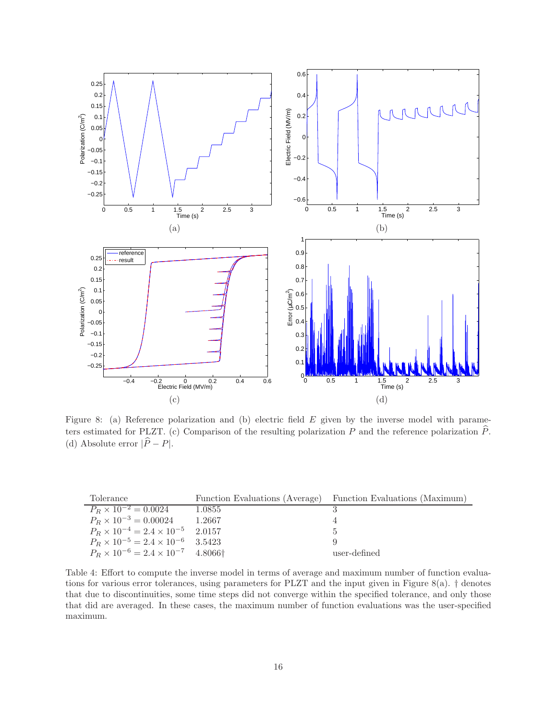

Figure 8: (a) Reference polarization and (b) electric field E given by the inverse model with parameters estimated for PLZT. (c) Comparison of the resulting polarization P and the reference polarization  $\hat{P}$ . (d) Absolute error  $|\widehat{P} - P|$ .

| Tolerance                                                     |        | Function Evaluations (Average) Function Evaluations (Maximum) |
|---------------------------------------------------------------|--------|---------------------------------------------------------------|
| $P_R \times 10^{-2} = 0.0024$                                 | 1.0855 |                                                               |
| $P_R \times 10^{-3} = 0.00024$                                | 1.2667 |                                                               |
| $P_R \times 10^{-4} = 2.4 \times 10^{-5}$ 2.0157              |        | Ð                                                             |
| $P_R \times 10^{-5} = 2.4 \times 10^{-6}$ 3.5423              |        | 9                                                             |
| $P_R \times 10^{-6} = 2.4 \times 10^{-7}$ 4.8066 <sup>†</sup> |        | user-defined                                                  |

Table 4: Effort to compute the inverse model in terms of average and maximum number of function evaluations for various error tolerances, using parameters for PLZT and the input given in Figure 8(a).  $\dagger$  denotes that due to discontinuities, some time steps did not converge within the specified tolerance, and only those that did are averaged. In these cases, the maximum number of function evaluations was the user-specified maximum.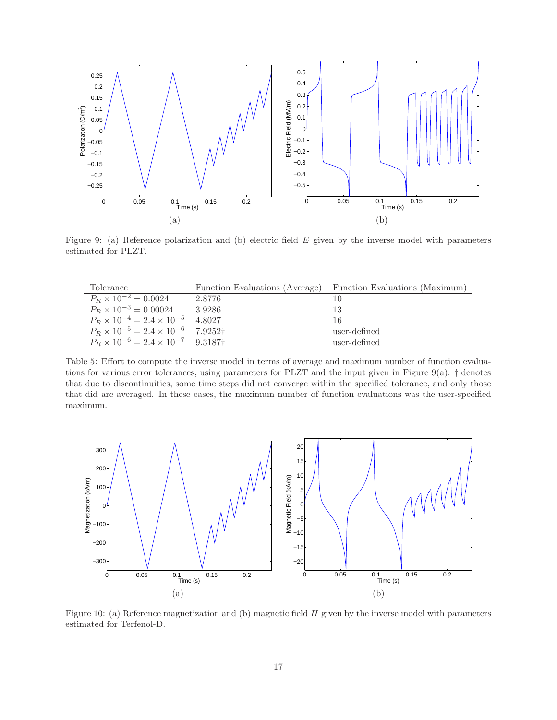

Figure 9: (a) Reference polarization and (b) electric field E given by the inverse model with parameters estimated for PLZT.

| Tolerance                                                     |        | Function Evaluations (Average) Function Evaluations (Maximum) |
|---------------------------------------------------------------|--------|---------------------------------------------------------------|
| $P_R \times 10^{-2} = 0.0024$                                 | 2.8776 |                                                               |
| $P_R \times 10^{-3} = 0.00024$                                | 3.9286 | 13                                                            |
| $P_R \times 10^{-4} = 2.4 \times 10^{-5}$ 4.8027              |        | 16                                                            |
| $P_R \times 10^{-5} = 2.4 \times 10^{-6}$ 7.9252 <sup>†</sup> |        | user-defined                                                  |
| $P_R \times 10^{-6} = 2.4 \times 10^{-7}$ 9.3187 <sup>+</sup> |        | user-defined                                                  |

Table 5: Effort to compute the inverse model in terms of average and maximum number of function evaluations for various error tolerances, using parameters for PLZT and the input given in Figure 9(a). † denotes that due to discontinuities, some time steps did not converge within the specified tolerance, and only those that did are averaged. In these cases, the maximum number of function evaluations was the user-specified maximum.



Figure 10: (a) Reference magnetization and (b) magnetic field  $H$  given by the inverse model with parameters estimated for Terfenol-D.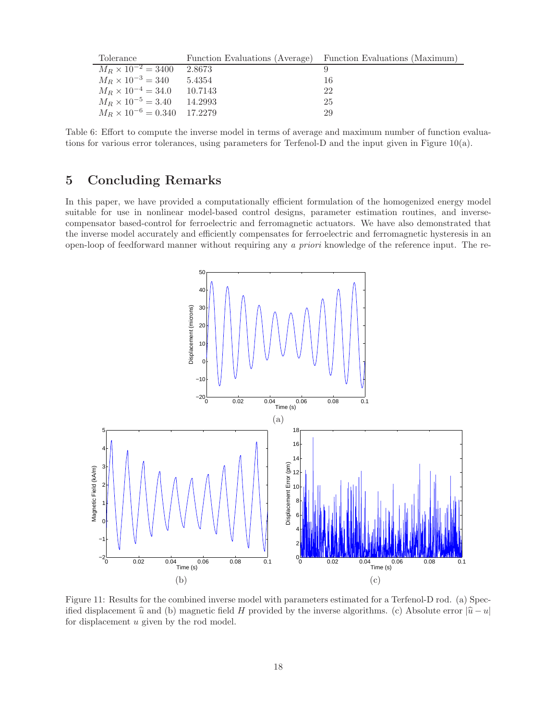| Tolerance                            |         | Function Evaluations (Average) Function Evaluations (Maximum) |
|--------------------------------------|---------|---------------------------------------------------------------|
| $M_R \times 10^{-2} = 3400$          | 2.8673  |                                                               |
| $M_R \times 10^{-3} = 340$           | 5.4354  | 16                                                            |
| $M_R \times 10^{-4} = 34.0$          | 10.7143 | 22                                                            |
| $M_R \times 10^{-5} = 3.40$          | 14.2993 | 25                                                            |
| $M_R \times 10^{-6} = 0.340$ 17.2279 |         | 29                                                            |

Table 6: Effort to compute the inverse model in terms of average and maximum number of function evaluations for various error tolerances, using parameters for Terfenol-D and the input given in Figure 10(a).

# 5 Concluding Remarks

In this paper, we have provided a computationally efficient formulation of the homogenized energy model suitable for use in nonlinear model-based control designs, parameter estimation routines, and inversecompensator based-control for ferroelectric and ferromagnetic actuators. We have also demonstrated that the inverse model accurately and efficiently compensates for ferroelectric and ferromagnetic hysteresis in an open-loop of feedforward manner without requiring any a priori knowledge of the reference input. The re-



Figure 11: Results for the combined inverse model with parameters estimated for a Terfenol-D rod. (a) Specified displacement  $\hat{u}$  and (b) magnetic field H provided by the inverse algorithms. (c) Absolute error  $|\hat{u}-u|$ for displacement u given by the rod model.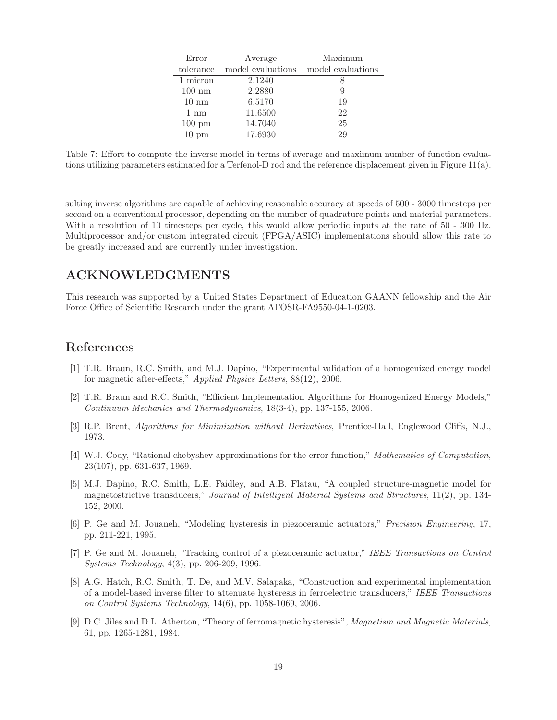| Error            | Average                                       | Maximum |
|------------------|-----------------------------------------------|---------|
|                  | tolerance model evaluations model evaluations |         |
| 1 micron         | 2.1240                                        |         |
| $100 \text{ nm}$ | 2.2880                                        | 9       |
| $10 \text{ nm}$  | 6.5170                                        | 19      |
| $1 \text{ nm}$   | 11.6500                                       | 22      |
| $100 \text{ pm}$ | 14.7040                                       | 25      |
| $10 \text{ pm}$  | 17.6930                                       | 29      |

Table 7: Effort to compute the inverse model in terms of average and maximum number of function evaluations utilizing parameters estimated for a Terfenol-D rod and the reference displacement given in Figure 11(a).

sulting inverse algorithms are capable of achieving reasonable accuracy at speeds of 500 - 3000 timesteps per second on a conventional processor, depending on the number of quadrature points and material parameters. With a resolution of 10 timesteps per cycle, this would allow periodic inputs at the rate of 50 - 300 Hz. Multiprocessor and/or custom integrated circuit (FPGA/ASIC) implementations should allow this rate to be greatly increased and are currently under investigation.

# ACKNOWLEDGMENTS

This research was supported by a United States Department of Education GAANN fellowship and the Air Force Office of Scientific Research under the grant AFOSR-FA9550-04-1-0203.

# References

- [1] T.R. Braun, R.C. Smith, and M.J. Dapino, "Experimental validation of a homogenized energy model for magnetic after-effects," Applied Physics Letters, 88(12), 2006.
- [2] T.R. Braun and R.C. Smith, "Efficient Implementation Algorithms for Homogenized Energy Models," Continuum Mechanics and Thermodynamics, 18(3-4), pp. 137-155, 2006.
- [3] R.P. Brent, Algorithms for Minimization without Derivatives, Prentice-Hall, Englewood Cliffs, N.J., 1973.
- [4] W.J. Cody, "Rational chebyshev approximations for the error function," Mathematics of Computation, 23(107), pp. 631-637, 1969.
- [5] M.J. Dapino, R.C. Smith, L.E. Faidley, and A.B. Flatau, "A coupled structure-magnetic model for magnetostrictive transducers," Journal of Intelligent Material Systems and Structures, 11(2), pp. 134- 152, 2000.
- [6] P. Ge and M. Jouaneh, "Modeling hysteresis in piezoceramic actuators," Precision Engineering, 17, pp. 211-221, 1995.
- [7] P. Ge and M. Jouaneh, "Tracking control of a piezoceramic actuator," IEEE Transactions on Control Systems Technology, 4(3), pp. 206-209, 1996.
- [8] A.G. Hatch, R.C. Smith, T. De, and M.V. Salapaka, "Construction and experimental implementation of a model-based inverse filter to attenuate hysteresis in ferroelectric transducers," IEEE Transactions on Control Systems Technology, 14(6), pp. 1058-1069, 2006.
- [9] D.C. Jiles and D.L. Atherton, "Theory of ferromagnetic hysteresis", Magnetism and Magnetic Materials, 61, pp. 1265-1281, 1984.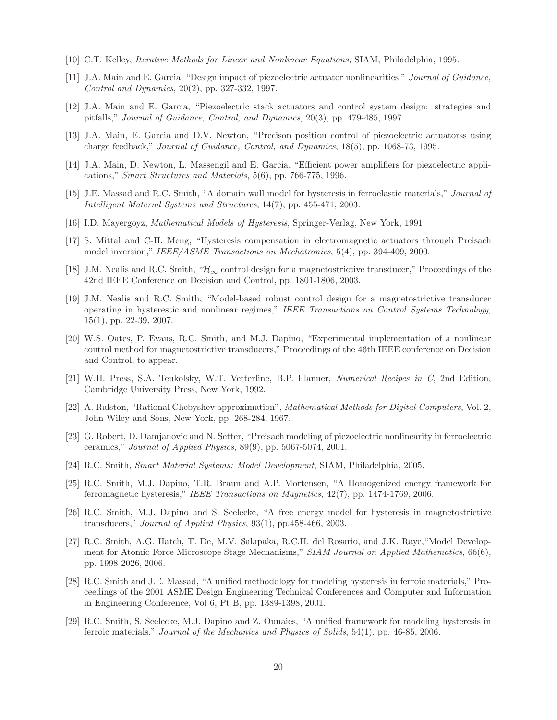- [10] C.T. Kelley, Iterative Methods for Linear and Nonlinear Equations, SIAM, Philadelphia, 1995.
- [11] J.A. Main and E. Garcia, "Design impact of piezoelectric actuator nonlinearities," Journal of Guidance, Control and Dynamics, 20(2), pp. 327-332, 1997.
- [12] J.A. Main and E. Garcia, "Piezoelectric stack actuators and control system design: strategies and pitfalls," Journal of Guidance, Control, and Dynamics, 20(3), pp. 479-485, 1997.
- [13] J.A. Main, E. Garcia and D.V. Newton, "Precison position control of piezoelectric actuatorss using charge feedback," Journal of Guidance, Control, and Dynamics, 18(5), pp. 1068-73, 1995.
- [14] J.A. Main, D. Newton, L. Massengil and E. Garcia, "Efficient power amplifiers for piezoelectric applications," Smart Structures and Materials, 5(6), pp. 766-775, 1996.
- [15] J.E. Massad and R.C. Smith, "A domain wall model for hysteresis in ferroelastic materials," Journal of Intelligent Material Systems and Structures, 14(7), pp. 455-471, 2003.
- [16] I.D. Mayergoyz, Mathematical Models of Hysteresis, Springer-Verlag, New York, 1991.
- [17] S. Mittal and C-H. Meng, "Hysteresis compensation in electromagnetic actuators through Preisach model inversion," IEEE/ASME Transactions on Mechatronics, 5(4), pp. 394-409, 2000.
- [18] J.M. Nealis and R.C. Smith, " $\mathcal{H}_{\infty}$  control design for a magnetostrictive transducer," Proceedings of the 42nd IEEE Conference on Decision and Control, pp. 1801-1806, 2003.
- [19] J.M. Nealis and R.C. Smith, "Model-based robust control design for a magnetostrictive transducer operating in hysterestic and nonlinear regimes," IEEE Transactions on Control Systems Technology, 15(1), pp. 22-39, 2007.
- [20] W.S. Oates, P. Evans, R.C. Smith, and M.J. Dapino, "Experimental implementation of a nonlinear control method for magnetostrictive transducers," Proceedings of the 46th IEEE conference on Decision and Control, to appear.
- [21] W.H. Press, S.A. Teukolsky, W.T. Vetterline, B.P. Flanner, Numerical Recipes in C, 2nd Edition, Cambridge University Press, New York, 1992.
- [22] A. Ralston, "Rational Chebyshev approximation", Mathematical Methods for Digital Computers, Vol. 2, John Wiley and Sons, New York, pp. 268-284, 1967.
- [23] G. Robert, D. Damjanovic and N. Setter, "Preisach modeling of piezoelectric nonlinearity in ferroelectric ceramics," Journal of Applied Physics, 89(9), pp. 5067-5074, 2001.
- [24] R.C. Smith, Smart Material Systems: Model Development, SIAM, Philadelphia, 2005.
- [25] R.C. Smith, M.J. Dapino, T.R. Braun and A.P. Mortensen, "A Homogenized energy framework for ferromagnetic hysteresis," IEEE Transactions on Magnetics, 42(7), pp. 1474-1769, 2006.
- [26] R.C. Smith, M.J. Dapino and S. Seelecke, "A free energy model for hysteresis in magnetostrictive transducers," Journal of Applied Physics, 93(1), pp.458-466, 2003.
- [27] R.C. Smith, A.G. Hatch, T. De, M.V. Salapaka, R.C.H. del Rosario, and J.K. Raye,"Model Development for Atomic Force Microscope Stage Mechanisms," SIAM Journal on Applied Mathematics, 66(6), pp. 1998-2026, 2006.
- [28] R.C. Smith and J.E. Massad, "A unified methodology for modeling hysteresis in ferroic materials," Proceedings of the 2001 ASME Design Engineering Technical Conferences and Computer and Information in Engineering Conference, Vol 6, Pt B, pp. 1389-1398, 2001.
- [29] R.C. Smith, S. Seelecke, M.J. Dapino and Z. Ounaies, "A unified framework for modeling hysteresis in ferroic materials," Journal of the Mechanics and Physics of Solids, 54(1), pp. 46-85, 2006.